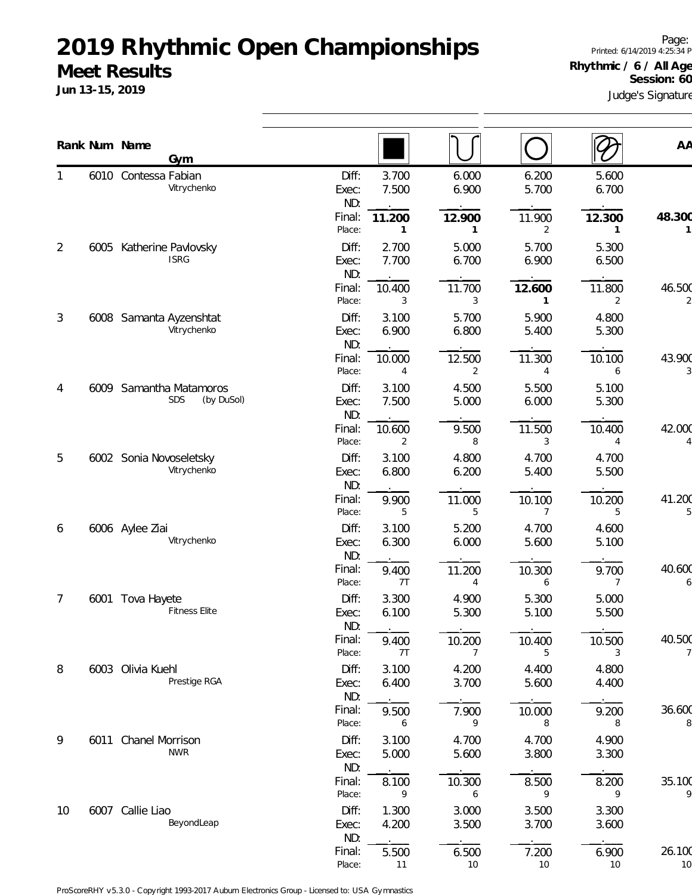### **2019 Rhythmic Open Championships Meet Results**

**Jun 13-15, 2019**

Page: Printed: 6/14/2019 4:25:34 PM **Rhythmic / 6 / All Ages** Session: 60

Judge's Signature

|                |      | Rank Num Name                  |                  |                |                |                |                         | AA          |
|----------------|------|--------------------------------|------------------|----------------|----------------|----------------|-------------------------|-------------|
|                |      | Gym<br>6010 Contessa Fabian    | Diff:            | 3.700          | 6.000          | 6.200          | 5.600                   |             |
|                |      | Vitrychenko                    | Exec:            | 7.500          | 6.900          | 5.700          | 6.700                   |             |
|                |      |                                | ND:              |                |                |                |                         |             |
|                |      |                                | Final:<br>Place: | 11.200<br>1    | 12.900<br>1    | 11.900<br>2    | 12.300<br>1             | 48.300      |
| 2              | 6005 | Katherine Pavlovsky            | Diff:            | 2.700          | 5.000          | 5.700          | 5.300                   |             |
|                |      | <b>ISRG</b>                    | Exec:            | 7.700          | 6.700          | 6.900          | 6.500                   |             |
|                |      |                                | ND:<br>Final:    | 10.400         |                |                |                         | 46.500      |
|                |      |                                | Place:           | 3              | 11.700<br>3    | 12.600<br>1    | 11.800<br>2             |             |
| 3              |      | 6008 Samanta Ayzenshtat        | Diff:            | 3.100          | 5.700          | 5.900          | 4.800                   |             |
|                |      | Vitrychenko                    | Exec:            | 6.900          | 6.800          | 5.400          | 5.300                   |             |
|                |      |                                | ND:<br>Final:    | 10.000         | 12.500         | 11.300         | 10.100                  | 43.900      |
|                |      |                                | Place:           | 4              | 2              | 4              | 6                       |             |
| 4              | 6009 | Samantha Matamoros             | Diff:            | 3.100          | 4.500          | 5.500          | 5.100                   |             |
|                |      | SDS<br>(by DuSol)              | Exec:            | 7.500          | 5.000          | 6.000          | 5.300                   |             |
|                |      |                                | ND:<br>Final:    |                |                |                |                         | 42.000      |
|                |      |                                | Place:           | 10.600<br>2    | 9.500<br>8     | 11.500<br>3    | 10.400<br>4             |             |
| 5              |      | 6002 Sonia Novoseletsky        | Diff:            | 3.100          | 4.800          | 4.700          | 4.700                   |             |
|                |      | Vitrychenko                    | Exec:            | 6.800          | 6.200          | 5.400          | 5.500                   |             |
|                |      |                                | ND:              |                |                |                |                         |             |
|                |      |                                | Final:<br>Place: | 9.900<br>5     | 11.000<br>5    | 10.100<br>7    | 10.200<br>5             | 41.200      |
| 6              |      | 6006 Aylee Ziai                | Diff:            | 3.100          | 5.200          | 4.700          | 4.600                   |             |
|                |      | Vitrychenko                    | Exec:            | 6.300          | 6.000          | 5.600          | 5.100                   |             |
|                |      |                                | ND:              |                |                |                |                         |             |
|                |      |                                | Final:<br>Place: | 9.400<br>7T    | 11.200<br>4    | 10.300<br>6    | 9.700<br>$\overline{7}$ | 40.600<br>6 |
| $\overline{7}$ | 6001 | Tova Hayete                    | Diff:            | 3.300          | 4.900          | 5.300          | 5.000                   |             |
|                |      | <b>Fitness Elite</b>           | Exec:            | 6.100          | 5.300          | 5.100          | 5.500                   |             |
|                |      |                                | ND:              | $\cdot$        |                |                |                         |             |
|                |      |                                | Final:<br>Place: | 9.400<br>7T    | 10.200<br>7    | 10.400<br>5    | 10.500<br>3             | 40.500      |
| 8              |      | 6003 Olivia Kuehl              | Diff:            | 3.100          | 4.200          | 4.400          | 4.800                   |             |
|                |      | Prestige RGA                   | Exec:            | 6.400          | 3.700          | 5.600          | 4.400                   |             |
|                |      |                                | ND:              |                |                |                |                         |             |
|                |      |                                | Final:<br>Place: | 9.500<br>6     | 7.900<br>9     | 10.000<br>8    | 9.200<br>8              | 36.600<br>8 |
| 9              | 6011 | <b>Chanel Morrison</b>         | Diff:            | 3.100          | 4.700          | 4.700          | 4.900                   |             |
|                |      | <b>NWR</b>                     | Exec:            | 5.000          | 5.600          | 3.800          | 3.300                   |             |
|                |      |                                | ND:              |                |                |                |                         |             |
|                |      |                                | Final:           | 8.100          | 10.300         | 8.500          | 8.200                   | 35.100      |
|                |      |                                | Place:           | 9              | 6              | 9              | 9                       |             |
| 10             |      | 6007 Callie Liao<br>BeyondLeap | Diff:<br>Exec:   | 1.300<br>4.200 | 3.000<br>3.500 | 3.500<br>3.700 | 3.300<br>3.600          |             |
|                |      |                                | ND:              |                |                |                |                         |             |
|                |      |                                | Final:           | 5.500          | 6.500          | 7.200          | 6.900                   | 26.100      |
|                |      |                                | Place:           | 11             | 10             | 10             | 10                      | 10          |

ProScoreRHY v5.3.0 - Copyright 1993-2017 Auburn Electronics Group - Licensed to: USA Gymnastics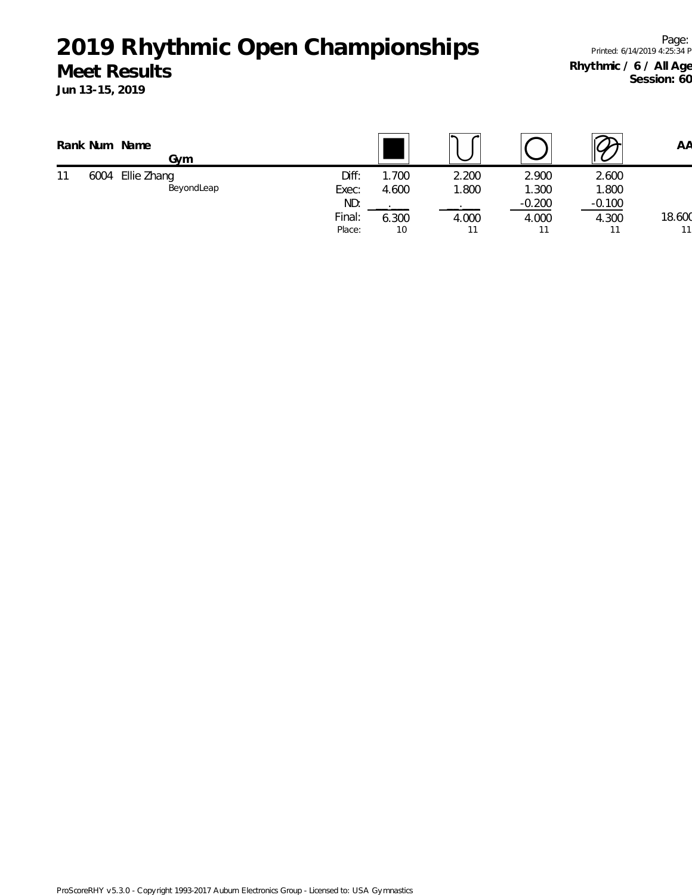#### **Meet Results**

**Jun 13-15, 2019**

Page: Printed: 6/14/2019 4:25:34 PM **Rhythmic / 6 / All Ages** Session: 60

|    |      | Rank Num Name<br>Gvm      |                |               |                |                |                | AA     |
|----|------|---------------------------|----------------|---------------|----------------|----------------|----------------|--------|
| 11 | 6004 | Ellie Zhang<br>BeyondLeap | Diff:<br>Exec: | .700<br>4.600 | 2.200<br>1.800 | 2.900<br>1.300 | 2.600<br>1.800 |        |
|    |      |                           | ND:            |               |                | $-0.200$       | $-0.100$       |        |
|    |      |                           | Final:         | 6.300         | 4.000          | 4.000          | 4.300          | 18.600 |
|    |      |                           | Place:         | 10            |                |                |                | 11     |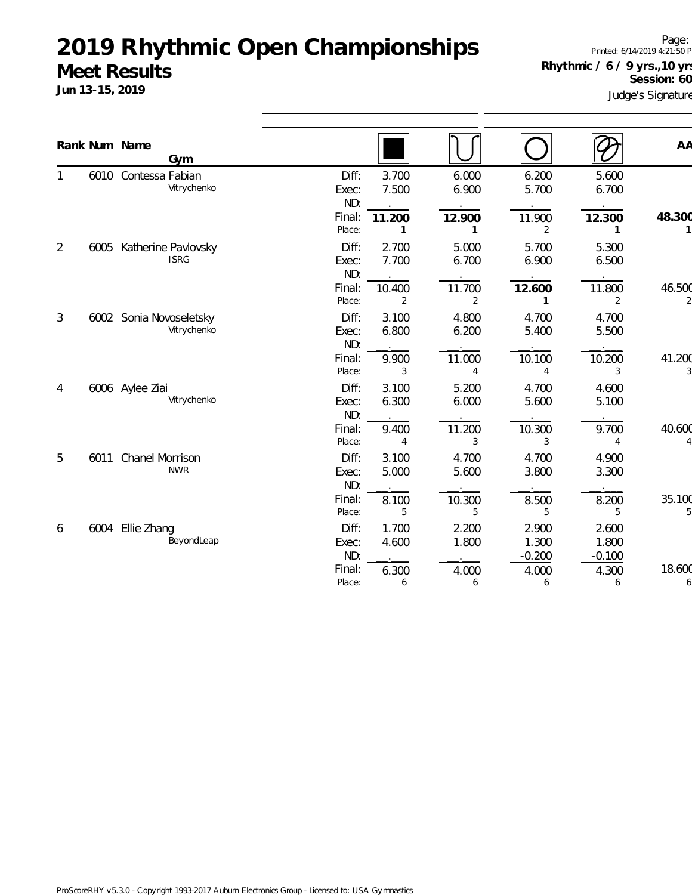#### **Meet Results**

**Jun 13-15, 2019**

Page: Printed: 6/14/2019 4:21:50 PM **Rhythmic / 6 / 9 yrs.,10 yrs.** Session: 60

Judge's Signature

|                |      |                        | Gym                                    |                       |                         |                          |                            |                            |             |
|----------------|------|------------------------|----------------------------------------|-----------------------|-------------------------|--------------------------|----------------------------|----------------------------|-------------|
|                |      | Rank Num Name          |                                        |                       |                         |                          |                            |                            | AA          |
|                |      | 6010 Contessa Fabian   | Vitrychenko                            | Diff:<br>Exec:<br>ND: | 3.700<br>7.500          | 6.000<br>6.900           | 6.200<br>5.700             | 5.600<br>6.700             |             |
|                |      |                        |                                        | Final:<br>Place:      | 11.200<br>1             | 12.900<br>$\mathbf{1}$   | 11.900<br>2                | 12.300<br>$\mathbf{1}$     | 48.300      |
| $\overline{2}$ | 6005 |                        | Katherine Pavlovsky<br><b>ISRG</b>     | Diff:<br>Exec:<br>ND: | 2.700<br>7.700          | 5.000<br>6.700           | 5.700<br>6.900             | 5.300<br>6.500             |             |
|                |      |                        |                                        | Final:<br>Place:      | 10.400<br>2             | 11.700<br>$\overline{2}$ | 12.600<br>1                | 11.800<br>2                | 46.500      |
| 3              |      |                        | 6002 Sonia Novoseletsky<br>Vitrychenko | Diff:<br>Exec:<br>ND: | 3.100<br>6.800          | 4.800<br>6.200           | 4.700<br>5.400             | 4.700<br>5.500             |             |
|                |      |                        |                                        | Final:<br>Place:      | 9.900<br>3              | 11.000<br>4              | 10.100<br>4                | 10.200<br>3                | 41.200      |
| 4              |      | 6006 Aylee Ziai        | Vitrychenko                            | Diff:<br>Exec:<br>ND: | 3.100<br>6.300          | 5.200<br>6.000           | 4.700<br>5.600             | 4.600<br>5.100             |             |
|                |      |                        |                                        | Final:<br>Place:      | 9.400<br>$\overline{4}$ | 11.200<br>3              | 10.300<br>3                | 9.700<br>4                 | 40.600      |
| 5              | 6011 | <b>Chanel Morrison</b> | <b>NWR</b>                             | Diff:<br>Exec:<br>ND: | 3.100<br>5.000          | 4.700<br>5.600           | 4.700<br>3.800             | 4.900<br>3.300             |             |
|                |      |                        |                                        | Final:<br>Place:      | 8.100<br>5              | 10.300<br>5              | 8.500<br>5                 | 8.200<br>5                 | 35.100      |
| 6              | 6004 | Ellie Zhang            | BeyondLeap                             | Diff:<br>Exec:<br>ND: | 1.700<br>4.600          | 2.200<br>1.800           | 2.900<br>1.300<br>$-0.200$ | 2.600<br>1.800<br>$-0.100$ |             |
|                |      |                        |                                        | Final:<br>Place:      | 6.300<br>6              | 4.000<br>6               | 4.000<br>6                 | 4.300<br>6                 | 18.600<br>6 |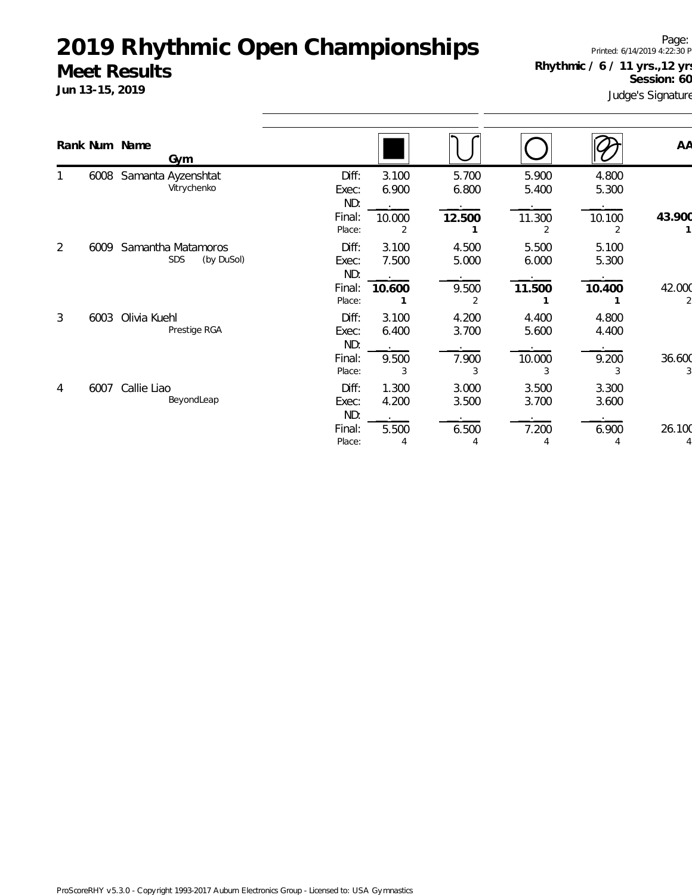#### **Meet Results**

**Jun 13-15, 2019**

Page: Printed: 6/14/2019 4:22:30 PM **Rhythmic / 6 / 11 yrs.,12 yrs.** Session: 60

Judge's Signature

|   |      | Rank Num Name<br>Gym                           |                                           |                              |                              |                               |                              | AA     |
|---|------|------------------------------------------------|-------------------------------------------|------------------------------|------------------------------|-------------------------------|------------------------------|--------|
|   | 6008 | Samanta Ayzenshtat<br>Vitrychenko              | Diff:<br>Exec:<br>ND:<br>Final:<br>Place: | 3.100<br>6.900<br>10.000     | 5.700<br>6.800<br>12.500     | 5.900<br>5.400<br>11.300<br>2 | 4.800<br>5.300<br>10.100     | 43.900 |
| 2 | 6009 | Samantha Matamoros<br><b>SDS</b><br>(by DuSol) | Diff:<br>Exec:<br>ND:<br>Final:<br>Place: | 3.100<br>7.500<br>10.600     | 4.500<br>5.000<br>9.500      | 5.500<br>6.000<br>11.500      | 5.100<br>5.300<br>10.400     | 42.000 |
| 3 | 6003 | Olivia Kuehl<br>Prestige RGA                   | Diff:<br>Exec:<br>ND:<br>Final:<br>Place: | 3.100<br>6.400<br>9.500<br>3 | 4.200<br>3.700<br>7.900<br>3 | 4.400<br>5.600<br>10.000<br>3 | 4.800<br>4.400<br>9.200<br>3 | 36.600 |
| 4 | 6007 | Callie Liao<br>BeyondLeap                      | Diff:<br>Exec:<br>ND:<br>Final:<br>Place: | 1.300<br>4.200<br>5.500      | 3.000<br>3.500<br>6.500<br>4 | 3.500<br>3.700<br>7.200<br>4  | 3.300<br>3.600<br>6.900<br>4 | 26.100 |